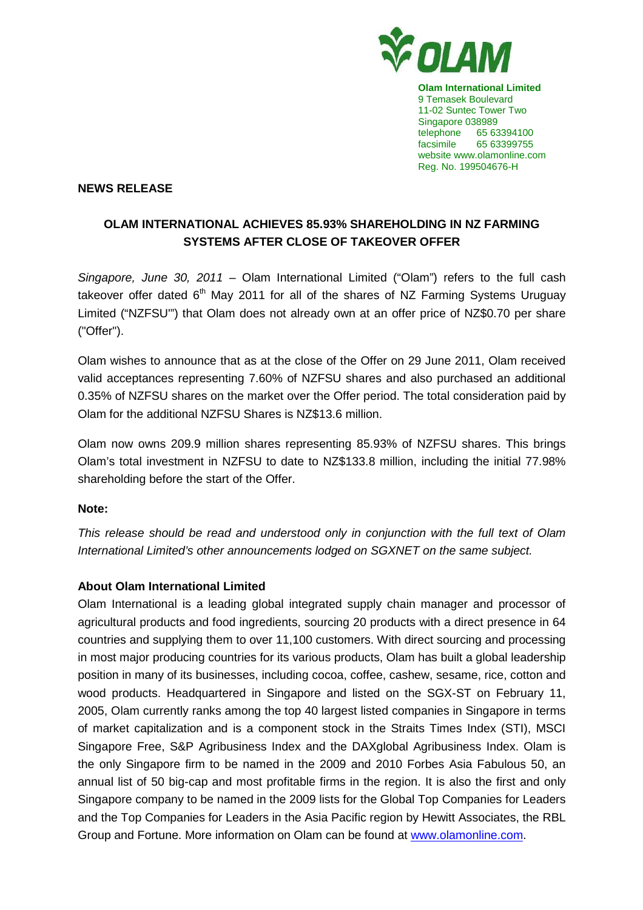

**Olam International Limited**  9 Temasek Boulevard 11-02 Suntec Tower Two Singapore 038989 telephone 65 63394100 facsimile 65 63399755 website www.olamonline.com Reg. No. 199504676-H

## **NEWS RELEASE**

## **OLAM INTERNATIONAL ACHIEVES 85.93% SHAREHOLDING IN NZ FARMING SYSTEMS AFTER CLOSE OF TAKEOVER OFFER**

Singapore, June 30, 2011 – Olam International Limited ("Olam") refers to the full cash takeover offer dated  $6<sup>th</sup>$  May 2011 for all of the shares of NZ Farming Systems Uruguay Limited ("NZFSU'") that Olam does not already own at an offer price of NZ\$0.70 per share ("Offer").

Olam wishes to announce that as at the close of the Offer on 29 June 2011, Olam received valid acceptances representing 7.60% of NZFSU shares and also purchased an additional 0.35% of NZFSU shares on the market over the Offer period. The total consideration paid by Olam for the additional NZFSU Shares is NZ\$13.6 million.

Olam now owns 209.9 million shares representing 85.93% of NZFSU shares. This brings Olam's total investment in NZFSU to date to NZ\$133.8 million, including the initial 77.98% shareholding before the start of the Offer.

## **Note:**

This release should be read and understood only in conjunction with the full text of Olam International Limited's other announcements lodged on SGXNET on the same subject.

## **About Olam International Limited**

Olam International is a leading global integrated supply chain manager and processor of agricultural products and food ingredients, sourcing 20 products with a direct presence in 64 countries and supplying them to over 11,100 customers. With direct sourcing and processing in most major producing countries for its various products, Olam has built a global leadership position in many of its businesses, including cocoa, coffee, cashew, sesame, rice, cotton and wood products. Headquartered in Singapore and listed on the SGX-ST on February 11, 2005, Olam currently ranks among the top 40 largest listed companies in Singapore in terms of market capitalization and is a component stock in the Straits Times Index (STI), MSCI Singapore Free, S&P Agribusiness Index and the DAXglobal Agribusiness Index. Olam is the only Singapore firm to be named in the 2009 and 2010 Forbes Asia Fabulous 50, an annual list of 50 big-cap and most profitable firms in the region. It is also the first and only Singapore company to be named in the 2009 lists for the Global Top Companies for Leaders and the Top Companies for Leaders in the Asia Pacific region by Hewitt Associates, the RBL Group and Fortune. More information on Olam can be found at www.olamonline.com.